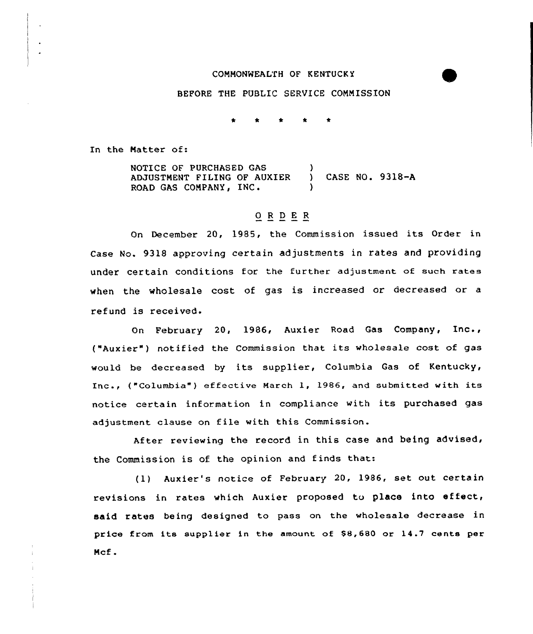## COMMONWEALTH OF KENTUCKY

## BEFORE THE PUBLIC SERVICE COMMISSION

In the Natter of:

NOTICE OF PURCHASED GAS ADJUSTMENT FILING OF AUXIER ) CASE NO. 9318-A ROAD GAS COMPANY, INC.

## 0 <sup>R</sup> <sup>D</sup> E R

On December 20, 1985, the Commission issued its Order in Case No. 9318 approving certain adjustments in rates and providing under certain conditions for the further adjustment of such rates when the wholesale cost of gas is increased or decreased or a refund is received.

On February 20, 1986, Auxier Road Gas Company, Inc., ("Auxier") notified the Commission that its wholesale cost of gas would be decreased by its supplier, Columbia Gas of Kentucky, Inc., ("Columbia") effective March 1, 1986, and submitted with its notice certain information in compliance with its purchased gas adjustment clause on file with this Commission.

After reviewing the record in this case and being advised, the Commission is of the opinion and finds that:

(1) Auxier's notice of February 20, 1986, set out certain revisions in rates which Auxier proposed to place into effect, said rates being designed to pass on the wholesale decrease in price from its supplier in the amount of \$8,680 or 14.7 cents per Mcf.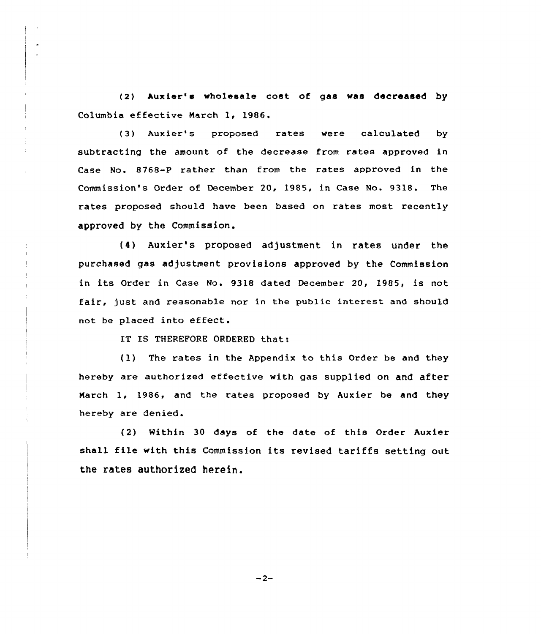(2) Auxier's wholesale cost of gas was decreased by Columbia effective March 1, 1986.

(3) Auxier's proposed rates were calculated by subtracting the amount of the decrease from rates approved in Case No. 8768-P rather than from the rates approved in the Commission's Order of December 20, 1985, in Case No. 9318. The rates proposed should have been based on rates most recently approved by the Commission.

f4) Auxier's proposed adjustment in rates under the purchased gas adjustment provisions approved by the Commission in its Qrdex in Case No. 9318 dated December 20, 1985, is not fair, just and xeasonable nox in the public interest and should not be placed into effect.

IT IS THEREFORE ORDERED that:

 $f(1)$  The rates in the Appendix to this Order be and they hexeby are authorized effective with gas supplied on and after March 1, 1986, and the rates proposed by Auxier be and they hexeby are denied.

(2) Within 30 days of the date of this Order Auxier shall file with this Commission its revised tariffs setting out the rates authorized herein.

 $-2-$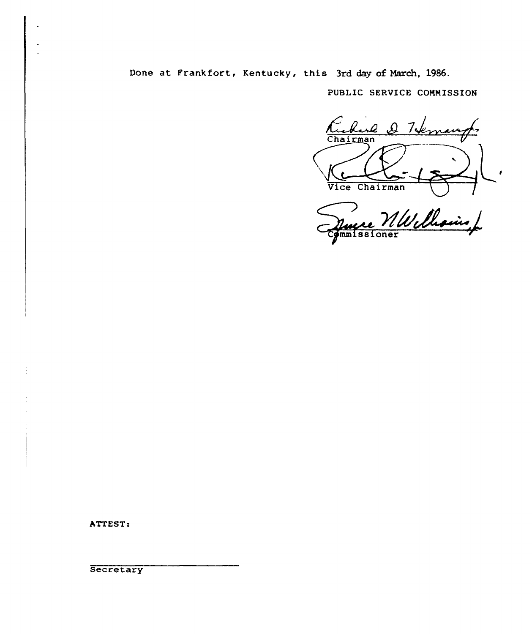Done at. Frankfort, Kentucky, this 3rd day of March, 1986.

PUBLIC SERUICE COMMISSION

Kuburk re & Tiem  $\frac{1}{\frac{1}{\frac{1}{\sqrt{1-\frac{1}{\sqrt{1-\frac{1}{\sqrt{1-\frac{1}{\sqrt{1-\frac{1}{\sqrt{1-\frac{1}{\sqrt{1-\frac{1}{\sqrt{1-\frac{1}{\sqrt{1-\frac{1}{\sqrt{1-\frac{1}{\sqrt{1-\frac{1}{\sqrt{1-\frac{1}{\sqrt{1-\frac{1}{\sqrt{1-\frac{1}{\sqrt{1-\frac{1}{\sqrt{1-\frac{1}{\sqrt{1-\frac{1}{\sqrt{1-\frac{1}{\sqrt{1-\frac{1}{\sqrt{1-\frac{1}{\sqrt{1-\frac{1}{\sqrt{1-\frac{1}{\sqrt{1-\frac{1}{\sqrt{1-\frac{$ 

**one**r

ATTEST:

**Secretary**